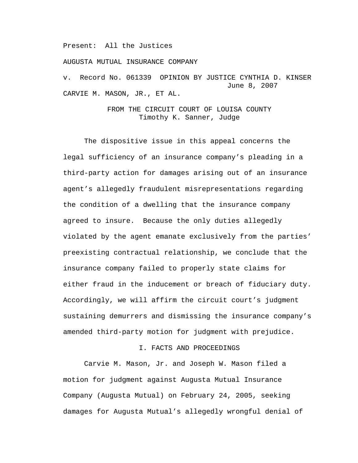Present: All the Justices

AUGUSTA MUTUAL INSURANCE COMPANY

v. Record No. 061339 OPINION BY JUSTICE CYNTHIA D. KINSER June 8, 2007 CARVIE M. MASON, JR., ET AL.

> FROM THE CIRCUIT COURT OF LOUISA COUNTY Timothy K. Sanner, Judge

 The dispositive issue in this appeal concerns the legal sufficiency of an insurance company's pleading in a third-party action for damages arising out of an insurance agent's allegedly fraudulent misrepresentations regarding the condition of a dwelling that the insurance company agreed to insure. Because the only duties allegedly violated by the agent emanate exclusively from the parties' preexisting contractual relationship, we conclude that the insurance company failed to properly state claims for either fraud in the inducement or breach of fiduciary duty. Accordingly, we will affirm the circuit court's judgment sustaining demurrers and dismissing the insurance company's amended third-party motion for judgment with prejudice.

## I. FACTS AND PROCEEDINGS

 Carvie M. Mason, Jr. and Joseph W. Mason filed a motion for judgment against Augusta Mutual Insurance Company (Augusta Mutual) on February 24, 2005, seeking damages for Augusta Mutual's allegedly wrongful denial of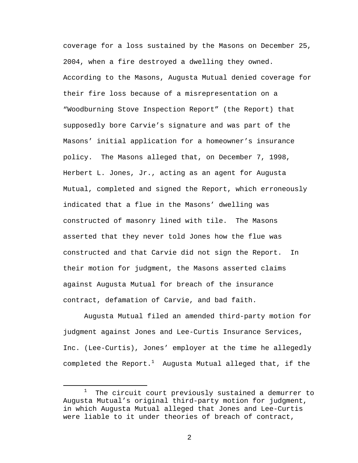coverage for a loss sustained by the Masons on December 25, 2004, when a fire destroyed a dwelling they owned. According to the Masons, Augusta Mutual denied coverage for their fire loss because of a misrepresentation on a "Woodburning Stove Inspection Report" (the Report) that supposedly bore Carvie's signature and was part of the Masons' initial application for a homeowner's insurance policy. The Masons alleged that, on December 7, 1998, Herbert L. Jones, Jr., acting as an agent for Augusta Mutual, completed and signed the Report, which erroneously indicated that a flue in the Masons' dwelling was constructed of masonry lined with tile. The Masons asserted that they never told Jones how the flue was constructed and that Carvie did not sign the Report. In their motion for judgment, the Masons asserted claims against Augusta Mutual for breach of the insurance contract, defamation of Carvie, and bad faith.

 Augusta Mutual filed an amended third-party motion for judgment against Jones and Lee-Curtis Insurance Services, Inc. (Lee-Curtis), Jones' employer at the time he allegedly completed the Report. $^1$  Augusta Mutual alleged that, if the

<sup>&</sup>lt;u>1</u> The circuit court previously sustained a demurrer to Augusta Mutual's original third-party motion for judgment, in which Augusta Mutual alleged that Jones and Lee-Curtis were liable to it under theories of breach of contract,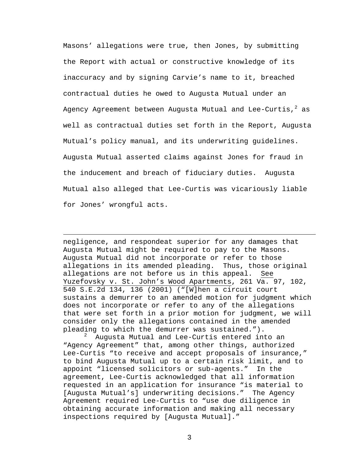Masons' allegations were true, then Jones, by submitting the Report with actual or constructive knowledge of its inaccuracy and by signing Carvie's name to it, breached contractual duties he owed to Augusta Mutual under an Agency Agreement between Augusta Mutual and Lee-Curtis, $^2$  as well as contractual duties set forth in the Report, Augusta Mutual's policy manual, and its underwriting guidelines. Augusta Mutual asserted claims against Jones for fraud in the inducement and breach of fiduciary duties. Augusta Mutual also alleged that Lee-Curtis was vicariously liable for Jones' wrongful acts.

negligence, and respondeat superior for any damages that Augusta Mutual might be required to pay to the Masons. Augusta Mutual did not incorporate or refer to those allegations in its amended pleading. Thus, those original allegations are not before us in this appeal. See Yuzefovsky v. St. John's Wood Apartments, 261 Va. 97, 102, 540 S.E.2d 134, 136 (2001) ("[W]hen a circuit court sustains a demurrer to an amended motion for judgment which does not incorporate or refer to any of the allegations that were set forth in a prior motion for judgment, we will consider only the allegations contained in the amended pleading to which the demurrer was sustained.").

 $\overline{\phantom{0}}$ 

2 Augusta Mutual and Lee-Curtis entered into an "Agency Agreement" that, among other things, authorized Lee-Curtis "to receive and accept proposals of insurance," to bind Augusta Mutual up to a certain risk limit, and to appoint "licensed solicitors or sub-agents." In the agreement, Lee-Curtis acknowledged that all information requested in an application for insurance "is material to [Augusta Mutual's] underwriting decisions." The Agency Agreement required Lee-Curtis to "use due diligence in obtaining accurate information and making all necessary inspections required by [Augusta Mutual]."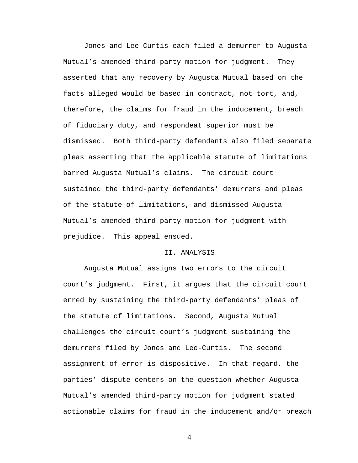Jones and Lee-Curtis each filed a demurrer to Augusta Mutual's amended third-party motion for judgment. They asserted that any recovery by Augusta Mutual based on the facts alleged would be based in contract, not tort, and, therefore, the claims for fraud in the inducement, breach of fiduciary duty, and respondeat superior must be dismissed. Both third-party defendants also filed separate pleas asserting that the applicable statute of limitations barred Augusta Mutual's claims. The circuit court sustained the third-party defendants' demurrers and pleas of the statute of limitations, and dismissed Augusta Mutual's amended third-party motion for judgment with prejudice. This appeal ensued.

## II. ANALYSIS

 Augusta Mutual assigns two errors to the circuit court's judgment. First, it argues that the circuit court erred by sustaining the third-party defendants' pleas of the statute of limitations. Second, Augusta Mutual challenges the circuit court's judgment sustaining the demurrers filed by Jones and Lee-Curtis. The second assignment of error is dispositive. In that regard, the parties' dispute centers on the question whether Augusta Mutual's amended third-party motion for judgment stated actionable claims for fraud in the inducement and/or breach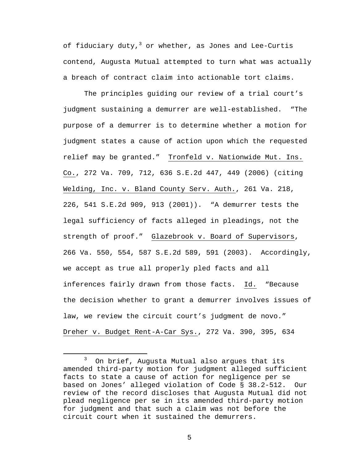of fiduciary duty,<sup>3</sup> or whether, as Jones and Lee-Curtis contend, Augusta Mutual attempted to turn what was actually a breach of contract claim into actionable tort claims.

The principles guiding our review of a trial court's judgment sustaining a demurrer are well-established. "The purpose of a demurrer is to determine whether a motion for judgment states a cause of action upon which the requested relief may be granted." Tronfeld v. Nationwide Mut. Ins. Co., 272 Va. 709, 712, 636 S.E.2d 447, 449 (2006) (citing Welding, Inc. v. Bland County Serv. Auth., 261 Va. 218, 226, 541 S.E.2d 909, 913 (2001)). "A demurrer tests the legal sufficiency of facts alleged in pleadings, not the strength of proof." Glazebrook v. Board of Supervisors, 266 Va. 550, 554, 587 S.E.2d 589, 591 (2003). Accordingly, we accept as true all properly pled facts and all inferences fairly drawn from those facts. Id. "Because the decision whether to grant a demurrer involves issues of law, we review the circuit court's judgment de novo." Dreher v. Budget Rent-A-Car Sys., 272 Va. 390, 395, 634

 $\overline{\phantom{a}}$  3 On brief, Augusta Mutual also argues that its amended third-party motion for judgment alleged sufficient facts to state a cause of action for negligence per se based on Jones' alleged violation of Code § 38.2-512. Our review of the record discloses that Augusta Mutual did not plead negligence per se in its amended third-party motion for judgment and that such a claim was not before the circuit court when it sustained the demurrers.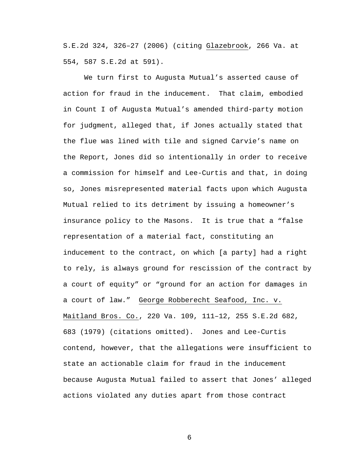S.E.2d 324, 326–27 (2006) (citing Glazebrook, 266 Va. at 554, 587 S.E.2d at 591).

We turn first to Augusta Mutual's asserted cause of action for fraud in the inducement. That claim, embodied in Count I of Augusta Mutual's amended third-party motion for judgment, alleged that, if Jones actually stated that the flue was lined with tile and signed Carvie's name on the Report, Jones did so intentionally in order to receive a commission for himself and Lee-Curtis and that, in doing so, Jones misrepresented material facts upon which Augusta Mutual relied to its detriment by issuing a homeowner's insurance policy to the Masons. It is true that a "false representation of a material fact, constituting an inducement to the contract, on which [a party] had a right to rely, is always ground for rescission of the contract by a court of equity" or "ground for an action for damages in a court of law." George Robberecht Seafood, Inc. v. Maitland Bros. Co., 220 Va. 109, 111–12, 255 S.E.2d 682, 683 (1979) (citations omitted). Jones and Lee-Curtis contend, however, that the allegations were insufficient to state an actionable claim for fraud in the inducement because Augusta Mutual failed to assert that Jones' alleged actions violated any duties apart from those contract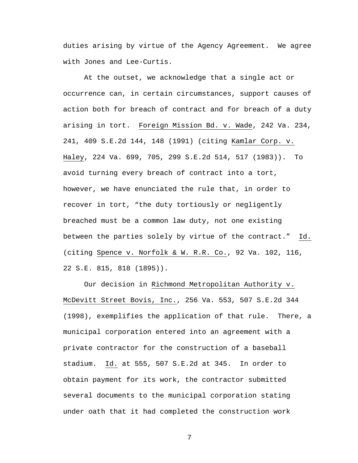duties arising by virtue of the Agency Agreement. We agree with Jones and Lee-Curtis.

At the outset, we acknowledge that a single act or occurrence can, in certain circumstances, support causes of action both for breach of contract and for breach of a duty arising in tort. Foreign Mission Bd. v. Wade, 242 Va. 234, 241, 409 S.E.2d 144, 148 (1991) (citing Kamlar Corp. v. Haley, 224 Va. 699, 705, 299 S.E.2d 514, 517 (1983)). To avoid turning every breach of contract into a tort, however, we have enunciated the rule that, in order to recover in tort, "the duty tortiously or negligently breached must be a common law duty, not one existing between the parties solely by virtue of the contract." Id. (citing Spence v. Norfolk & W. R.R. Co., 92 Va. 102, 116, 22 S.E. 815, 818 (1895)).

Our decision in Richmond Metropolitan Authority v. McDevitt Street Bovis, Inc., 256 Va. 553, 507 S.E.2d 344 (1998), exemplifies the application of that rule. There, a municipal corporation entered into an agreement with a private contractor for the construction of a baseball stadium. Id. at 555, 507 S.E.2d at 345. In order to obtain payment for its work, the contractor submitted several documents to the municipal corporation stating under oath that it had completed the construction work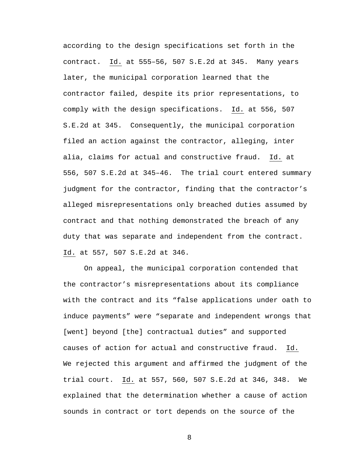according to the design specifications set forth in the contract. Id. at 555–56, 507 S.E.2d at 345. Many years later, the municipal corporation learned that the contractor failed, despite its prior representations, to comply with the design specifications. Id. at 556, 507 S.E.2d at 345. Consequently, the municipal corporation filed an action against the contractor, alleging, inter alia, claims for actual and constructive fraud. Id. at 556, 507 S.E.2d at 345–46. The trial court entered summary judgment for the contractor, finding that the contractor's alleged misrepresentations only breached duties assumed by contract and that nothing demonstrated the breach of any duty that was separate and independent from the contract. Id. at 557, 507 S.E.2d at 346.

On appeal, the municipal corporation contended that the contractor's misrepresentations about its compliance with the contract and its "false applications under oath to induce payments" were "separate and independent wrongs that [went] beyond [the] contractual duties" and supported causes of action for actual and constructive fraud. Id. We rejected this argument and affirmed the judgment of the trial court. Id. at 557, 560, 507 S.E.2d at 346, 348. We explained that the determination whether a cause of action sounds in contract or tort depends on the source of the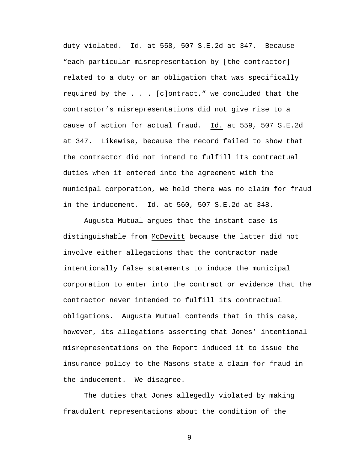duty violated. Id. at 558, 507 S.E.2d at 347. Because "each particular misrepresentation by [the contractor] related to a duty or an obligation that was specifically required by the . . . [c]ontract," we concluded that the contractor's misrepresentations did not give rise to a cause of action for actual fraud. Id. at 559, 507 S.E.2d at 347. Likewise, because the record failed to show that the contractor did not intend to fulfill its contractual duties when it entered into the agreement with the municipal corporation, we held there was no claim for fraud in the inducement. Id. at 560, 507 S.E.2d at 348.

Augusta Mutual argues that the instant case is distinguishable from McDevitt because the latter did not involve either allegations that the contractor made intentionally false statements to induce the municipal corporation to enter into the contract or evidence that the contractor never intended to fulfill its contractual obligations. Augusta Mutual contends that in this case, however, its allegations asserting that Jones' intentional misrepresentations on the Report induced it to issue the insurance policy to the Masons state a claim for fraud in the inducement. We disagree.

The duties that Jones allegedly violated by making fraudulent representations about the condition of the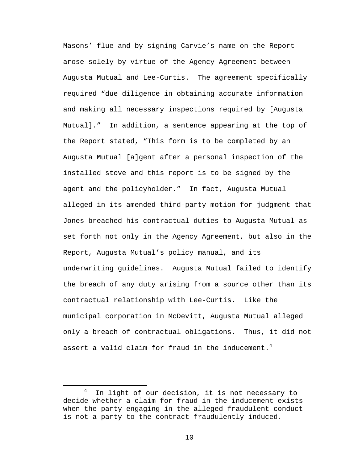Masons' flue and by signing Carvie's name on the Report arose solely by virtue of the Agency Agreement between Augusta Mutual and Lee-Curtis. The agreement specifically required "due diligence in obtaining accurate information and making all necessary inspections required by [Augusta Mutual]." In addition, a sentence appearing at the top of the Report stated, "This form is to be completed by an Augusta Mutual [a]gent after a personal inspection of the installed stove and this report is to be signed by the agent and the policyholder." In fact, Augusta Mutual alleged in its amended third-party motion for judgment that Jones breached his contractual duties to Augusta Mutual as set forth not only in the Agency Agreement, but also in the Report, Augusta Mutual's policy manual, and its underwriting guidelines. Augusta Mutual failed to identify the breach of any duty arising from a source other than its contractual relationship with Lee-Curtis. Like the municipal corporation in McDevitt, Augusta Mutual alleged only a breach of contractual obligations. Thus, it did not assert a valid claim for fraud in the inducement.<sup>4</sup>

 $\overline{4}$  In light of our decision, it is not necessary to decide whether a claim for fraud in the inducement exists when the party engaging in the alleged fraudulent conduct is not a party to the contract fraudulently induced.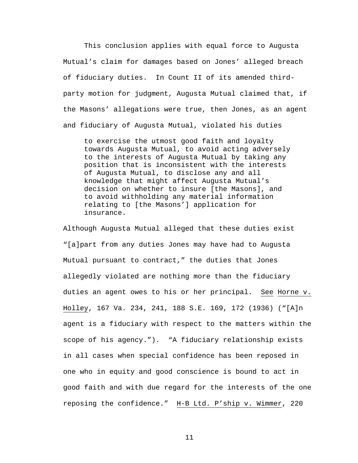This conclusion applies with equal force to Augusta Mutual's claim for damages based on Jones' alleged breach of fiduciary duties. In Count II of its amended thirdparty motion for judgment, Augusta Mutual claimed that, if the Masons' allegations were true, then Jones, as an agent and fiduciary of Augusta Mutual, violated his duties

to exercise the utmost good faith and loyalty towards Augusta Mutual, to avoid acting adversely to the interests of Augusta Mutual by taking any position that is inconsistent with the interests of Augusta Mutual, to disclose any and all knowledge that might affect Augusta Mutual's decision on whether to insure [the Masons], and to avoid withholding any material information relating to [the Masons'] application for insurance.

Although Augusta Mutual alleged that these duties exist "[a]part from any duties Jones may have had to Augusta Mutual pursuant to contract," the duties that Jones allegedly violated are nothing more than the fiduciary duties an agent owes to his or her principal. See Horne v. Holley, 167 Va. 234, 241, 188 S.E. 169, 172 (1936) ("[A]n agent is a fiduciary with respect to the matters within the scope of his agency."). "A fiduciary relationship exists in all cases when special confidence has been reposed in one who in equity and good conscience is bound to act in good faith and with due regard for the interests of the one reposing the confidence." H-B Ltd. P'ship v. Wimmer, 220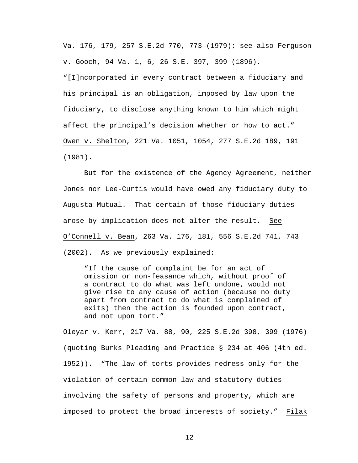Va. 176, 179, 257 S.E.2d 770, 773 (1979); see also Ferguson v. Gooch, 94 Va. 1, 6, 26 S.E. 397, 399 (1896).

"[I]ncorporated in every contract between a fiduciary and his principal is an obligation, imposed by law upon the fiduciary, to disclose anything known to him which might affect the principal's decision whether or how to act." Owen v. Shelton, 221 Va. 1051, 1054, 277 S.E.2d 189, 191 (1981).

But for the existence of the Agency Agreement, neither Jones nor Lee-Curtis would have owed any fiduciary duty to Augusta Mutual. That certain of those fiduciary duties arose by implication does not alter the result. See O'Connell v. Bean, 263 Va. 176, 181, 556 S.E.2d 741, 743 (2002). As we previously explained:

"If the cause of complaint be for an act of omission or non-feasance which, without proof of a contract to do what was left undone, would not give rise to any cause of action (because no duty apart from contract to do what is complained of exits) then the action is founded upon contract, and not upon tort."

Oleyar v. Kerr, 217 Va. 88, 90, 225 S.E.2d 398, 399 (1976) (quoting Burks Pleading and Practice § 234 at 406 (4th ed. 1952)). "The law of torts provides redress only for the violation of certain common law and statutory duties involving the safety of persons and property, which are imposed to protect the broad interests of society." Filak